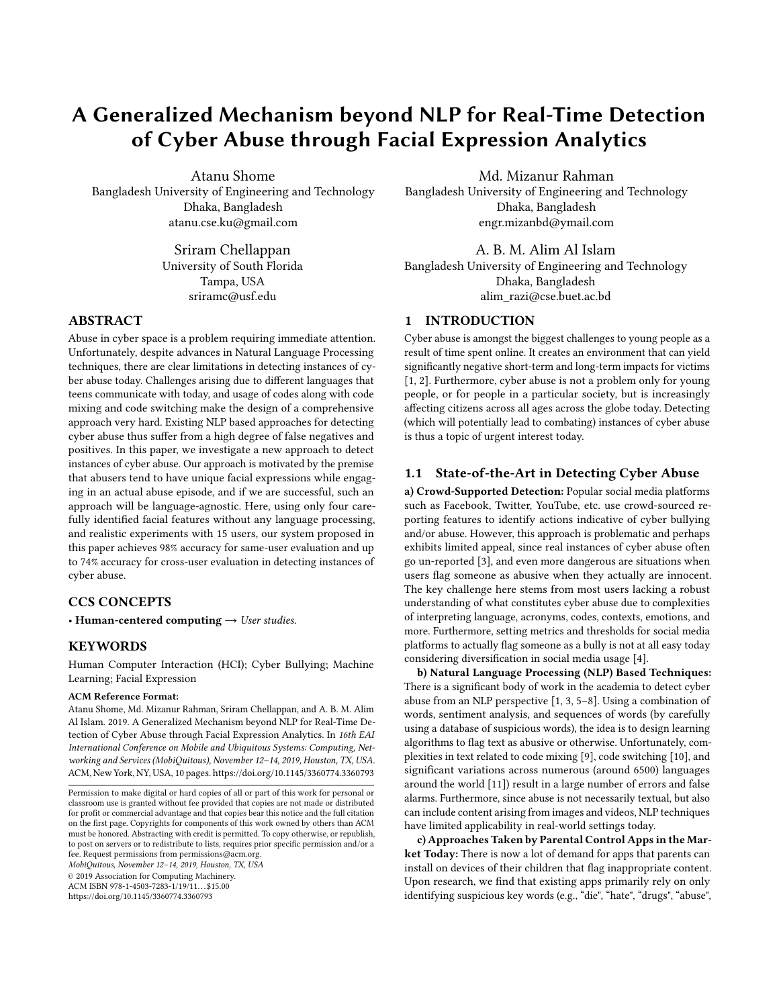# A Generalized Mechanism beyond NLP for Real-Time Detection of Cyber Abuse through Facial Expression Analytics

Atanu Shome Bangladesh University of Engineering and Technology Dhaka, Bangladesh atanu.cse.ku@gmail.com

> Sriram Chellappan University of South Florida Tampa, USA sriramc@usf.edu

# ABSTRACT

Abuse in cyber space is a problem requiring immediate attention. Unfortunately, despite advances in Natural Language Processing techniques, there are clear limitations in detecting instances of cyber abuse today. Challenges arising due to different languages that teens communicate with today, and usage of codes along with code mixing and code switching make the design of a comprehensive approach very hard. Existing NLP based approaches for detecting cyber abuse thus suffer from a high degree of false negatives and positives. In this paper, we investigate a new approach to detect instances of cyber abuse. Our approach is motivated by the premise that abusers tend to have unique facial expressions while engaging in an actual abuse episode, and if we are successful, such an approach will be language-agnostic. Here, using only four carefully identified facial features without any language processing, and realistic experiments with 15 users, our system proposed in this paper achieves 98% accuracy for same-user evaluation and up to 74% accuracy for cross-user evaluation in detecting instances of cyber abuse.

# CCS CONCEPTS

• Human-centered computing  $\rightarrow$  User studies.

# KEYWORDS

Human Computer Interaction (HCI); Cyber Bullying; Machine Learning; Facial Expression

#### ACM Reference Format:

Atanu Shome, Md. Mizanur Rahman, Sriram Chellappan, and A. B. M. Alim Al Islam. 2019. A Generalized Mechanism beyond NLP for Real-Time Detection of Cyber Abuse through Facial Expression Analytics. In 16th EAI International Conference on Mobile and Ubiquitous Systems: Computing, Networking and Services (MobiQuitous), November 12–14, 2019, Houston, TX, USA. ACM, New York, NY, USA, [10](#page-9-0) pages.<https://doi.org/10.1145/3360774.3360793>

MobiQuitous, November 12–14, 2019, Houston, TX, USA

© 2019 Association for Computing Machinery.

ACM ISBN 978-1-4503-7283-1/19/11...\$15.00

<https://doi.org/10.1145/3360774.3360793>

Md. Mizanur Rahman

Bangladesh University of Engineering and Technology Dhaka, Bangladesh engr.mizanbd@ymail.com

A. B. M. Alim Al Islam Bangladesh University of Engineering and Technology Dhaka, Bangladesh alim\_razi@cse.buet.ac.bd

# 1 INTRODUCTION

Cyber abuse is amongst the biggest challenges to young people as a result of time spent online. It creates an environment that can yield significantly negative short-term and long-term impacts for victims [\[1,](#page-8-0) [2\]](#page-8-1). Furthermore, cyber abuse is not a problem only for young people, or for people in a particular society, but is increasingly affecting citizens across all ages across the globe today. Detecting (which will potentially lead to combating) instances of cyber abuse is thus a topic of urgent interest today.

## 1.1 State-of-the-Art in Detecting Cyber Abuse

a) Crowd-Supported Detection: Popular social media platforms such as Facebook, Twitter, YouTube, etc. use crowd-sourced reporting features to identify actions indicative of cyber bullying and/or abuse. However, this approach is problematic and perhaps exhibits limited appeal, since real instances of cyber abuse often go un-reported [\[3\]](#page-8-2), and even more dangerous are situations when users flag someone as abusive when they actually are innocent. The key challenge here stems from most users lacking a robust understanding of what constitutes cyber abuse due to complexities of interpreting language, acronyms, codes, contexts, emotions, and more. Furthermore, setting metrics and thresholds for social media platforms to actually flag someone as a bully is not at all easy today considering diversification in social media usage [\[4\]](#page-8-3).

b) Natural Language Processing (NLP) Based Techniques: There is a significant body of work in the academia to detect cyber abuse from an NLP perspective [\[1,](#page-8-0) [3,](#page-8-2) [5](#page-9-1)[–8\]](#page-9-2). Using a combination of words, sentiment analysis, and sequences of words (by carefully using a database of suspicious words), the idea is to design learning algorithms to flag text as abusive or otherwise. Unfortunately, complexities in text related to code mixing [\[9\]](#page-9-3), code switching [\[10\]](#page-9-4), and significant variations across numerous (around 6500) languages around the world [\[11\]](#page-9-5)) result in a large number of errors and false alarms. Furthermore, since abuse is not necessarily textual, but also can include content arising from images and videos, NLP techniques have limited applicability in real-world settings today.

c) Approaches Taken by Parental Control Apps in the Market Today: There is now a lot of demand for apps that parents can install on devices of their children that flag inappropriate content. Upon research, we find that existing apps primarily rely on only identifying suspicious key words (e.g., "die", "hate", "drugs", "abuse",

Permission to make digital or hard copies of all or part of this work for personal or classroom use is granted without fee provided that copies are not made or distributed for profit or commercial advantage and that copies bear this notice and the full citation on the first page. Copyrights for components of this work owned by others than ACM must be honored. Abstracting with credit is permitted. To copy otherwise, or republish, to post on servers or to redistribute to lists, requires prior specific permission and/or a fee. Request permissions from permissions@acm.org.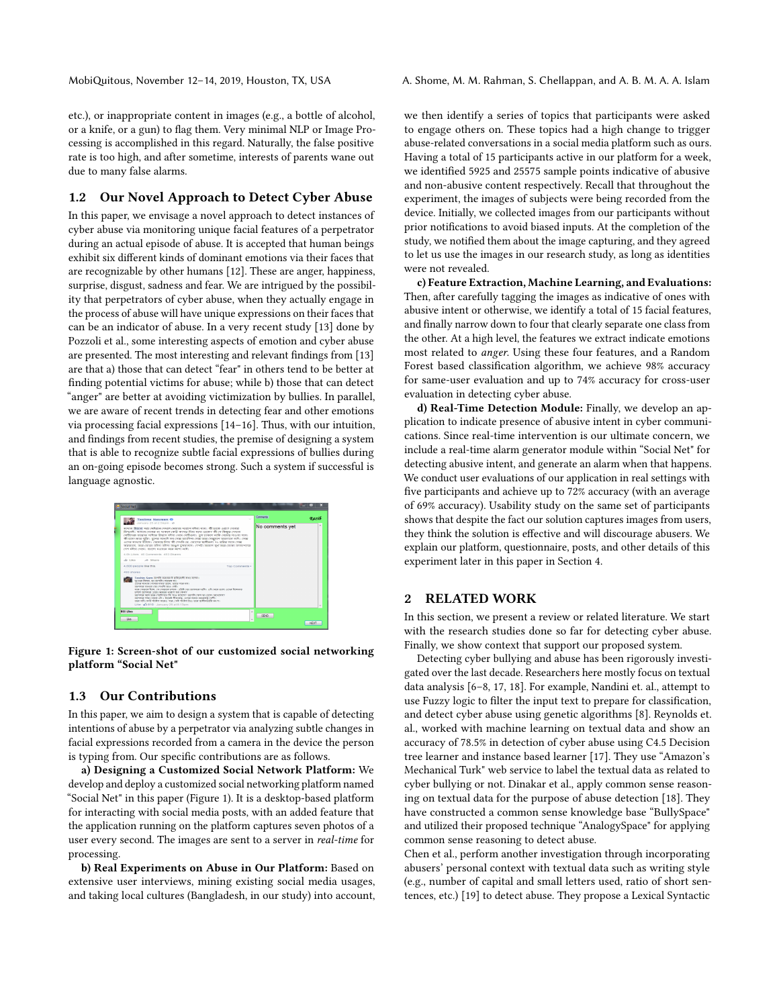MobiQuitous, November 12–14, 2019, Houston, TX, USA A. Shome, M. M. Rahman, S. Chellappan, and A. B. M. A. A. Islam

etc.), or inappropriate content in images (e.g., a bottle of alcohol, or a knife, or a gun) to flag them. Very minimal NLP or Image Processing is accomplished in this regard. Naturally, the false positive rate is too high, and after sometime, interests of parents wane out due to many false alarms.

## 1.2 Our Novel Approach to Detect Cyber Abuse

In this paper, we envisage a novel approach to detect instances of cyber abuse via monitoring unique facial features of a perpetrator during an actual episode of abuse. It is accepted that human beings exhibit six different kinds of dominant emotions via their faces that are recognizable by other humans [\[12\]](#page-9-6). These are anger, happiness, surprise, disgust, sadness and fear. We are intrigued by the possibility that perpetrators of cyber abuse, when they actually engage in the process of abuse will have unique expressions on their faces that can be an indicator of abuse. In a very recent study [\[13\]](#page-9-7) done by Pozzoli et al., some interesting aspects of emotion and cyber abuse are presented. The most interesting and relevant findings from [\[13\]](#page-9-7) are that a) those that can detect "fear" in others tend to be better at finding potential victims for abuse; while b) those that can detect "anger" are better at avoiding victimization by bullies. In parallel, we are aware of recent trends in detecting fear and other emotions via processing facial expressions [\[14–](#page-9-8)[16\]](#page-9-9). Thus, with our intuition, and findings from recent studies, the premise of designing a system that is able to recognize subtle facial expressions of bullies during an on-going episode becomes strong. Such a system if successful is language agnostic.

<span id="page-1-0"></span>

## Figure 1: Screen-shot of our customized social networking platform "Social Net"

## 1.3 Our Contributions

In this paper, we aim to design a system that is capable of detecting intentions of abuse by a perpetrator via analyzing subtle changes in facial expressions recorded from a camera in the device the person is typing from. Our specific contributions are as follows.

a) Designing a Customized Social Network Platform: We develop and deploy a customized social networking platform named "Social Net" in this paper (Figure [1\)](#page-1-0). It is a desktop-based platform for interacting with social media posts, with an added feature that the application running on the platform captures seven photos of a user every second. The images are sent to a server in real-time for processing.

b) Real Experiments on Abuse in Our Platform: Based on extensive user interviews, mining existing social media usages, and taking local cultures (Bangladesh, in our study) into account, we then identify a series of topics that participants were asked to engage others on. These topics had a high change to trigger abuse-related conversations in a social media platform such as ours. Having a total of 15 participants active in our platform for a week, we identified 5925 and 25575 sample points indicative of abusive and non-abusive content respectively. Recall that throughout the experiment, the images of subjects were being recorded from the device. Initially, we collected images from our participants without prior notifications to avoid biased inputs. At the completion of the study, we notified them about the image capturing, and they agreed to let us use the images in our research study, as long as identities were not revealed.

c) Feature Extraction, Machine Learning, and Evaluations: Then, after carefully tagging the images as indicative of ones with abusive intent or otherwise, we identify a total of 15 facial features, and finally narrow down to four that clearly separate one class from the other. At a high level, the features we extract indicate emotions most related to anger. Using these four features, and a Random Forest based classification algorithm, we achieve 98% accuracy for same-user evaluation and up to 74% accuracy for cross-user evaluation in detecting cyber abuse.

d) Real-Time Detection Module: Finally, we develop an application to indicate presence of abusive intent in cyber communications. Since real-time intervention is our ultimate concern, we include a real-time alarm generator module within "Social Net" for detecting abusive intent, and generate an alarm when that happens. We conduct user evaluations of our application in real settings with five participants and achieve up to 72% accuracy (with an average of 69% accuracy). Usability study on the same set of participants shows that despite the fact our solution captures images from users, they think the solution is effective and will discourage abusers. We explain our platform, questionnaire, posts, and other details of this experiment later in this paper in Section 4.

#### 2 RELATED WORK

In this section, we present a review or related literature. We start with the research studies done so far for detecting cyber abuse. Finally, we show context that support our proposed system.

Detecting cyber bullying and abuse has been rigorously investigated over the last decade. Researchers here mostly focus on textual data analysis [\[6–](#page-9-10)[8,](#page-9-2) [17,](#page-9-11) [18\]](#page-9-12). For example, Nandini et. al., attempt to use Fuzzy logic to filter the input text to prepare for classification, and detect cyber abuse using genetic algorithms [\[8\]](#page-9-2). Reynolds et. al., worked with machine learning on textual data and show an accuracy of 78.5% in detection of cyber abuse using C4.5 Decision tree learner and instance based learner [\[17\]](#page-9-11). They use "Amazon's Mechanical Turk" web service to label the textual data as related to cyber bullying or not. Dinakar et al., apply common sense reasoning on textual data for the purpose of abuse detection [\[18\]](#page-9-12). They have constructed a common sense knowledge base "BullySpace" and utilized their proposed technique "AnalogySpace" for applying common sense reasoning to detect abuse.

Chen et al., perform another investigation through incorporating abusers' personal context with textual data such as writing style (e.g., number of capital and small letters used, ratio of short sentences, etc.) [\[19\]](#page-9-13) to detect abuse. They propose a Lexical Syntactic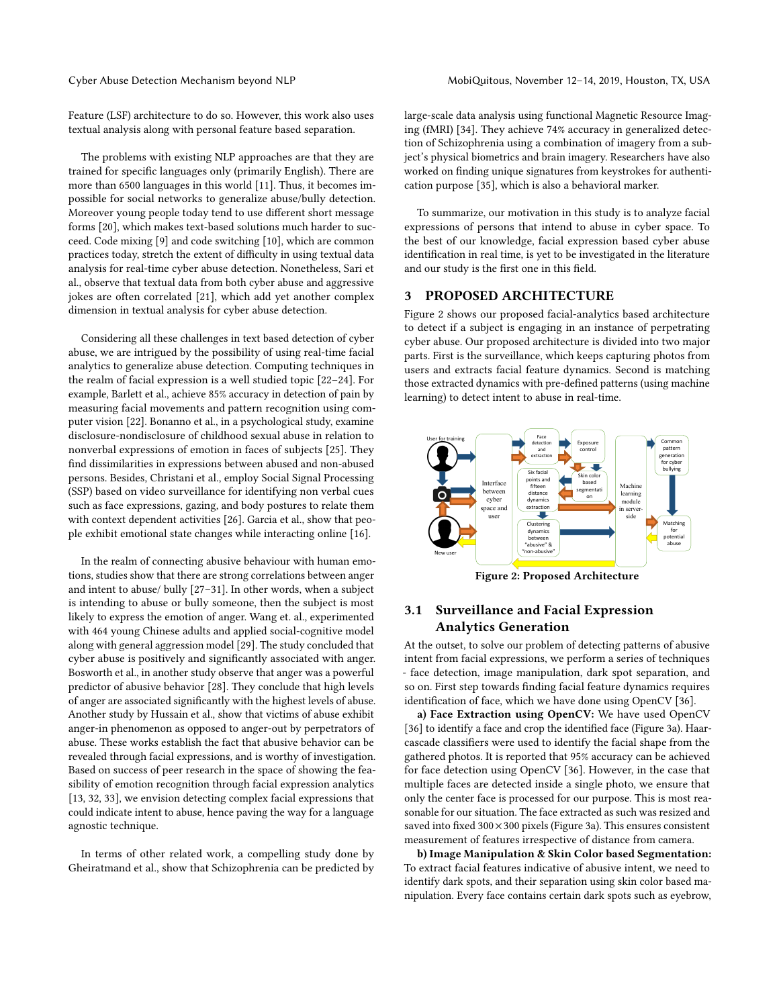Cyber Abuse Detection Mechanism beyond NLP MobiQuitous, November 12-14, 2019, Houston, TX, USA

Feature (LSF) architecture to do so. However, this work also uses textual analysis along with personal feature based separation.

The problems with existing NLP approaches are that they are trained for specific languages only (primarily English). There are more than 6500 languages in this world [\[11\]](#page-9-5). Thus, it becomes impossible for social networks to generalize abuse/bully detection. Moreover young people today tend to use different short message forms [\[20\]](#page-9-14), which makes text-based solutions much harder to succeed. Code mixing [\[9\]](#page-9-3) and code switching [\[10\]](#page-9-4), which are common practices today, stretch the extent of difficulty in using textual data analysis for real-time cyber abuse detection. Nonetheless, Sari et al., observe that textual data from both cyber abuse and aggressive jokes are often correlated [\[21\]](#page-9-15), which add yet another complex dimension in textual analysis for cyber abuse detection.

Considering all these challenges in text based detection of cyber abuse, we are intrigued by the possibility of using real-time facial analytics to generalize abuse detection. Computing techniques in the realm of facial expression is a well studied topic [\[22–](#page-9-16)[24\]](#page-9-17). For example, Barlett et al., achieve 85% accuracy in detection of pain by measuring facial movements and pattern recognition using computer vision [\[22\]](#page-9-16). Bonanno et al., in a psychological study, examine disclosure-nondisclosure of childhood sexual abuse in relation to nonverbal expressions of emotion in faces of subjects [\[25\]](#page-9-18). They find dissimilarities in expressions between abused and non-abused persons. Besides, Christani et al., employ Social Signal Processing (SSP) based on video surveillance for identifying non verbal cues such as face expressions, gazing, and body postures to relate them with context dependent activities [\[26\]](#page-9-19). Garcia et al., show that people exhibit emotional state changes while interacting online [\[16\]](#page-9-9).

In the realm of connecting abusive behaviour with human emotions, studies show that there are strong correlations between anger and intent to abuse/ bully [\[27–](#page-9-20)[31\]](#page-9-21). In other words, when a subject is intending to abuse or bully someone, then the subject is most likely to express the emotion of anger. Wang et. al., experimented with 464 young Chinese adults and applied social-cognitive model along with general aggression model [\[29\]](#page-9-22). The study concluded that cyber abuse is positively and significantly associated with anger. Bosworth et al., in another study observe that anger was a powerful predictor of abusive behavior [\[28\]](#page-9-23). They conclude that high levels of anger are associated significantly with the highest levels of abuse. Another study by Hussain et al., show that victims of abuse exhibit anger-in phenomenon as opposed to anger-out by perpetrators of abuse. These works establish the fact that abusive behavior can be revealed through facial expressions, and is worthy of investigation. Based on success of peer research in the space of showing the feasibility of emotion recognition through facial expression analytics [\[13,](#page-9-7) [32,](#page-9-24) [33\]](#page-9-25), we envision detecting complex facial expressions that could indicate intent to abuse, hence paving the way for a language agnostic technique.

In terms of other related work, a compelling study done by Gheiratmand et al., show that Schizophrenia can be predicted by

large-scale data analysis using functional Magnetic Resource Imaging (fMRI) [\[34\]](#page-9-26). They achieve 74% accuracy in generalized detection of Schizophrenia using a combination of imagery from a subject's physical biometrics and brain imagery. Researchers have also worked on finding unique signatures from keystrokes for authentication purpose [\[35\]](#page-9-27), which is also a behavioral marker.

To summarize, our motivation in this study is to analyze facial expressions of persons that intend to abuse in cyber space. To the best of our knowledge, facial expression based cyber abuse identification in real time, is yet to be investigated in the literature and our study is the first one in this field.

## 3 PROPOSED ARCHITECTURE

Figure [2](#page-2-0) shows our proposed facial-analytics based architecture to detect if a subject is engaging in an instance of perpetrating cyber abuse. Our proposed architecture is divided into two major parts. First is the surveillance, which keeps capturing photos from users and extracts facial feature dynamics. Second is matching those extracted dynamics with pre-defined patterns (using machine learning) to detect intent to abuse in real-time.

<span id="page-2-0"></span>

Figure 2: Proposed Architecture

# 3.1 Surveillance and Facial Expression Analytics Generation

At the outset, to solve our problem of detecting patterns of abusive intent from facial expressions, we perform a series of techniques - face detection, image manipulation, dark spot separation, and so on. First step towards finding facial feature dynamics requires identification of face, which we have done using OpenCV [\[36\]](#page-9-28).

a) Face Extraction using OpenCV: We have used OpenCV [\[36\]](#page-9-28) to identify a face and crop the identified face (Figure [3a\)](#page-3-0). Haarcascade classifiers were used to identify the facial shape from the gathered photos. It is reported that 95% accuracy can be achieved for face detection using OpenCV [\[36\]](#page-9-28). However, in the case that multiple faces are detected inside a single photo, we ensure that only the center face is processed for our purpose. This is most reasonable for our situation. The face extracted as such was resized and saved into fixed 300 × 300 pixels (Figure [3a\)](#page-3-0). This ensures consistent measurement of features irrespective of distance from camera.

b) Image Manipulation & Skin Color based Segmentation: To extract facial features indicative of abusive intent, we need to identify dark spots, and their separation using skin color based manipulation. Every face contains certain dark spots such as eyebrow,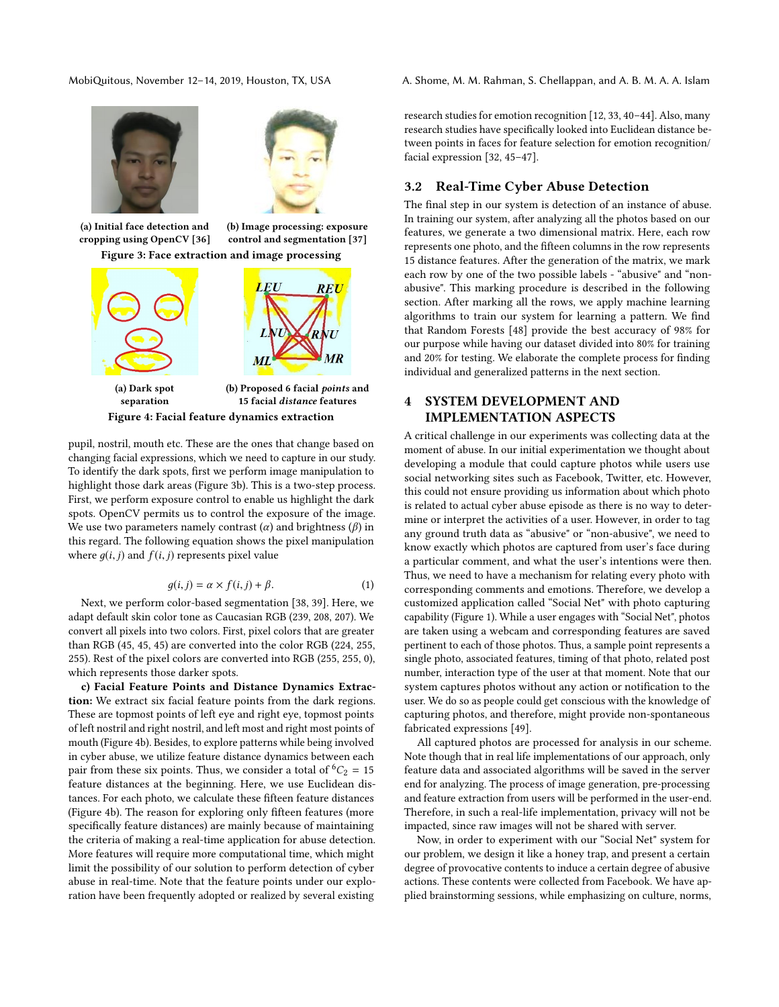<span id="page-3-0"></span>

(a) Initial face detection and cropping using OpenCV [\[36\]](#page-9-28) (b) Image processing: exposure control and segmentation [\[37\]](#page-9-29) Figure 3: Face extraction and image processing

<span id="page-3-1"></span>

pupil, nostril, mouth etc. These are the ones that change based on changing facial expressions, which we need to capture in our study. To identify the dark spots, first we perform image manipulation to highlight those dark areas (Figure [3b\)](#page-3-0). This is a two-step process. First, we perform exposure control to enable us highlight the dark spots. OpenCV permits us to control the exposure of the image. We use two parameters namely contrast  $(\alpha)$  and brightness  $(\beta)$  in this regard. The following equation shows the pixel manipulation where  $q(i, j)$  and  $f(i, j)$  represents pixel value

$$
g(i,j) = \alpha \times f(i,j) + \beta.
$$
 (1)

 $g(i, j) = \alpha \times f(i, j) + \beta.$  (1)<br>Next, we perform color-based segmentation [\[38,](#page-9-30) [39\]](#page-9-31). Here, we adapt default skin color tone as Caucasian RGB (239, 208, 207). We convert all pixels into two colors. First, pixel colors that are greater than RGB (45, 45, 45) are converted into the color RGB (224, 255, 255). Rest of the pixel colors are converted into RGB (255, 255, 0), which represents those darker spots.

c) Facial Feature Points and Distance Dynamics Extraction: We extract six facial feature points from the dark regions. These are topmost points of left eye and right eye, topmost points of left nostril and right nostril, and left most and right most points of mouth (Figure [4b\)](#page-3-1). Besides, to explore patterns while being involved in cyber abuse, we utilize feature distance dynamics between each pair from these six points. Thus, we consider a total of  ${}^6C_2 = 15$ feature distances at the beginning. Here, we use Euclidean distances. For each photo, we calculate these fifteen feature distances (Figure [4b\)](#page-3-1). The reason for exploring only fifteen features (more specifically feature distances) are mainly because of maintaining the criteria of making a real-time application for abuse detection. More features will require more computational time, which might limit the possibility of our solution to perform detection of cyber abuse in real-time. Note that the feature points under our exploration have been frequently adopted or realized by several existing

MobiQuitous, November 12–14, 2019, Houston, TX, USA A. Shome, M. M. Rahman, S. Chellappan, and A. B. M. A. A. Islam

research studies for emotion recognition [\[12,](#page-9-6) [33,](#page-9-25) [40](#page-9-32)[–44\]](#page-9-33). Also, many research studies have specifically looked into Euclidean distance between points in faces for feature selection for emotion recognition/ facial expression [\[32,](#page-9-24) [45](#page-9-34)[–47\]](#page-9-35).

## 3.2 Real-Time Cyber Abuse Detection

The final step in our system is detection of an instance of abuse. In training our system, after analyzing all the photos based on our features, we generate a two dimensional matrix. Here, each row represents one photo, and the fifteen columns in the row represents 15 distance features. After the generation of the matrix, we mark each row by one of the two possible labels - "abusive" and "nonabusive". This marking procedure is described in the following section. After marking all the rows, we apply machine learning algorithms to train our system for learning a pattern. We find that Random Forests [\[48\]](#page-9-36) provide the best accuracy of 98% for our purpose while having our dataset divided into 80% for training and 20% for testing. We elaborate the complete process for finding individual and generalized patterns in the next section.

# 4 SYSTEM DEVELOPMENT AND IMPLEMENTATION ASPECTS

A critical challenge in our experiments was collecting data at the moment of abuse. In our initial experimentation we thought about developing a module that could capture photos while users use social networking sites such as Facebook, Twitter, etc. However, this could not ensure providing us information about which photo is related to actual cyber abuse episode as there is no way to determine or interpret the activities of a user. However, in order to tag any ground truth data as "abusive" or "non-abusive", we need to know exactly which photos are captured from user's face during a particular comment, and what the user's intentions were then. Thus, we need to have a mechanism for relating every photo with corresponding comments and emotions. Therefore, we develop a customized application called "Social Net" with photo capturing capability (Figure [1\)](#page-1-0). While a user engages with "Social Net", photos are taken using a webcam and corresponding features are saved pertinent to each of those photos. Thus, a sample point represents a single photo, associated features, timing of that photo, related post number, interaction type of the user at that moment. Note that our system captures photos without any action or notification to the user. We do so as people could get conscious with the knowledge of capturing photos, and therefore, might provide non-spontaneous fabricated expressions [\[49\]](#page-9-37).

All captured photos are processed for analysis in our scheme. Note though that in real life implementations of our approach, only feature data and associated algorithms will be saved in the server end for analyzing. The process of image generation, pre-processing and feature extraction from users will be performed in the user-end. Therefore, in such a real-life implementation, privacy will not be impacted, since raw images will not be shared with server.

Now, in order to experiment with our "Social Net" system for our problem, we design it like a honey trap, and present a certain degree of provocative contents to induce a certain degree of abusive actions. These contents were collected from Facebook. We have applied brainstorming sessions, while emphasizing on culture, norms,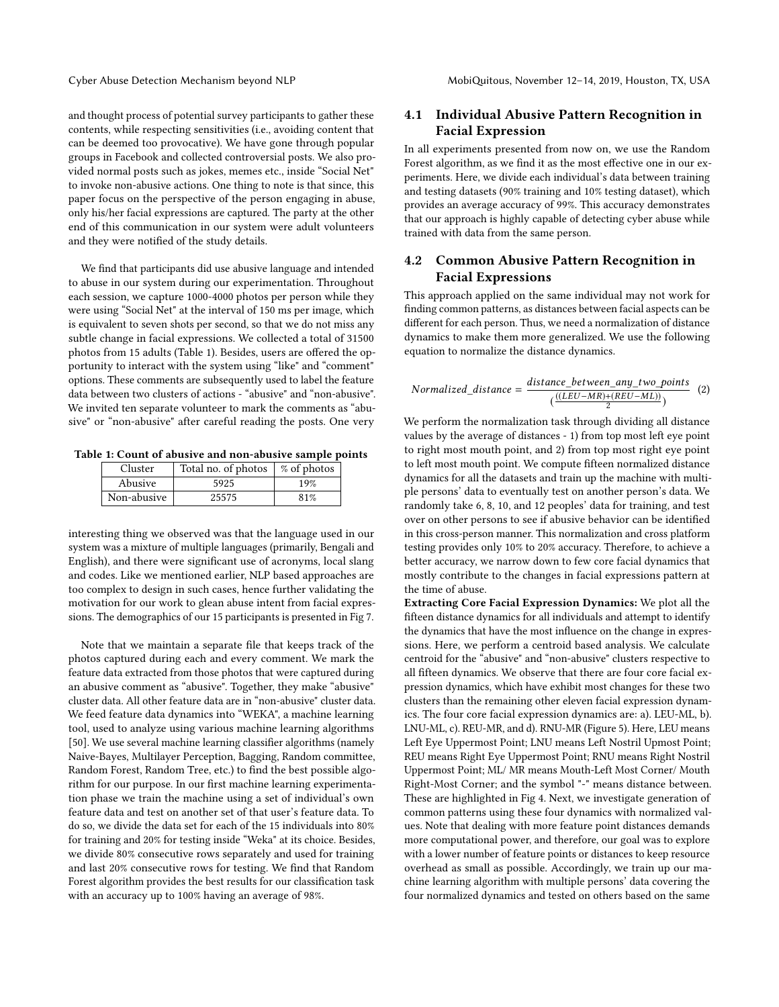and thought process of potential survey participants to gather these contents, while respecting sensitivities (i.e., avoiding content that can be deemed too provocative). We have gone through popular groups in Facebook and collected controversial posts. We also provided normal posts such as jokes, memes etc., inside "Social Net" to invoke non-abusive actions. One thing to note is that since, this paper focus on the perspective of the person engaging in abuse, only his/her facial expressions are captured. The party at the other end of this communication in our system were adult volunteers and they were notified of the study details.

We find that participants did use abusive language and intended to abuse in our system during our experimentation. Throughout each session, we capture 1000-4000 photos per person while they were using "Social Net" at the interval of 150 ms per image, which is equivalent to seven shots per second, so that we do not miss any subtle change in facial expressions. We collected a total of 31500 photos from 15 adults (Table [1\)](#page-4-0). Besides, users are offered the opportunity to interact with the system using "like" and "comment" options. These comments are subsequently used to label the feature data between two clusters of actions - "abusive" and "non-abusive". We invited ten separate volunteer to mark the comments as "abusive" or "non-abusive" after careful reading the posts. One very

<span id="page-4-0"></span>Table 1: Count of abusive and non-abusive sample points

| Cluster     | Total no. of photos | % of photos |
|-------------|---------------------|-------------|
| Abusive     | 5925                | 19%         |
| Non-abusive | 25575               | 81%         |

interesting thing we observed was that the language used in our system was a mixture of multiple languages (primarily, Bengali and English), and there were significant use of acronyms, local slang and codes. Like we mentioned earlier, NLP based approaches are too complex to design in such cases, hence further validating the motivation for our work to glean abuse intent from facial expressions. The demographics of our 15 participants is presented in Fig [7.](#page-6-0)

Note that we maintain a separate file that keeps track of the photos captured during each and every comment. We mark the feature data extracted from those photos that were captured during an abusive comment as "abusive". Together, they make "abusive" cluster data. All other feature data are in "non-abusive" cluster data. We feed feature data dynamics into "WEKA", a machine learning tool, used to analyze using various machine learning algorithms [\[50\]](#page-9-38). We use several machine learning classifier algorithms (namely Naive-Bayes, Multilayer Perception, Bagging, Random committee, Random Forest, Random Tree, etc.) to find the best possible algorithm for our purpose. In our first machine learning experimentation phase we train the machine using a set of individual's own feature data and test on another set of that user's feature data. To do so, we divide the data set for each of the 15 individuals into 80% for training and 20% for testing inside "Weka" at its choice. Besides, we divide 80% consecutive rows separately and used for training and last 20% consecutive rows for testing. We find that Random Forest algorithm provides the best results for our classification task with an accuracy up to 100% having an average of 98%.

# 4.1 Individual Abusive Pattern Recognition in Facial Expression

In all experiments presented from now on, we use the Random Forest algorithm, as we find it as the most effective one in our experiments. Here, we divide each individual's data between training and testing datasets (90% training and 10% testing dataset), which provides an average accuracy of 99%. This accuracy demonstrates that our approach is highly capable of detecting cyber abuse while trained with data from the same person.

# 4.2 Common Abusive Pattern Recognition in Facial Expressions

This approach applied on the same individual may not work for finding common patterns, as distances between facial aspects can be different for each person. Thus, we need a normalization of distance dynamics to make them more generalized. We use the following equation to normalize the distance dynamics.

$$
Normalized\_distance = \frac{distance\_between\_any\_two\_points}{(\frac{((LEU-MR)+(REU-ML))}{2})} \quad (2)
$$

We perform the normalization task through dividing all distance values by the average of distances - 1) from top most left eye point to right most mouth point, and 2) from top most right eye point to left most mouth point. We compute fifteen normalized distance dynamics for all the datasets and train up the machine with multiple persons' data to eventually test on another person's data. We randomly take 6, 8, 10, and 12 peoples' data for training, and test over on other persons to see if abusive behavior can be identified in this cross-person manner. This normalization and cross platform testing provides only 10% to 20% accuracy. Therefore, to achieve a better accuracy, we narrow down to few core facial dynamics that mostly contribute to the changes in facial expressions pattern at the time of abuse.

Extracting Core Facial Expression Dynamics: We plot all the fifteen distance dynamics for all individuals and attempt to identify the dynamics that have the most influence on the change in expressions. Here, we perform a centroid based analysis. We calculate centroid for the "abusive" and "non-abusive" clusters respective to all fifteen dynamics. We observe that there are four core facial expression dynamics, which have exhibit most changes for these two clusters than the remaining other eleven facial expression dynamics. The four core facial expression dynamics are: a). LEU-ML, b). LNU-ML, c). REU-MR, and d). RNU-MR (Figure [5\)](#page-5-0). Here, LEU means Left Eye Uppermost Point; LNU means Left Nostril Upmost Point; REU means Right Eye Uppermost Point; RNU means Right Nostril Uppermost Point; ML/ MR means Mouth-Left Most Corner/ Mouth Right-Most Corner; and the symbol "-" means distance between. These are highlighted in Fig [4.](#page-3-1) Next, we investigate generation of common patterns using these four dynamics with normalized values. Note that dealing with more feature point distances demands more computational power, and therefore, our goal was to explore with a lower number of feature points or distances to keep resource overhead as small as possible. Accordingly, we train up our machine learning algorithm with multiple persons' data covering the four normalized dynamics and tested on others based on the same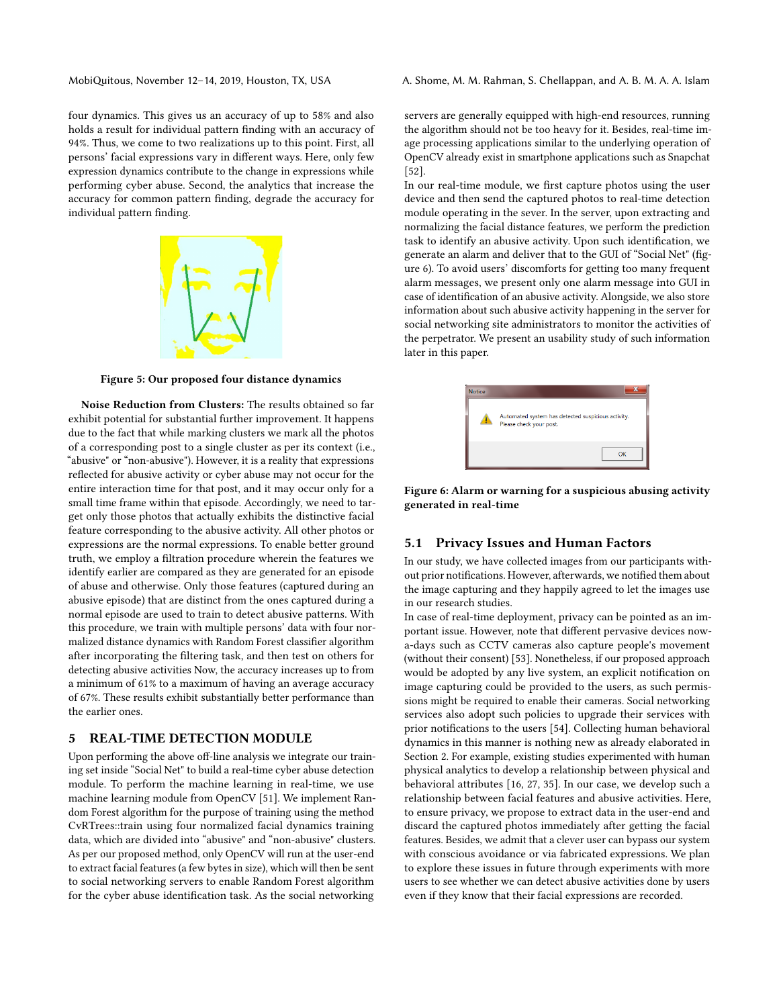MobiQuitous, November 12–14, 2019, Houston, TX, USA A. Shome, M. M. Rahman, S. Chellappan, and A. B. M. A. A. Islam

four dynamics. This gives us an accuracy of up to 58% and also holds a result for individual pattern finding with an accuracy of 94%. Thus, we come to two realizations up to this point. First, all persons' facial expressions vary in different ways. Here, only few expression dynamics contribute to the change in expressions while performing cyber abuse. Second, the analytics that increase the accuracy for common pattern finding, degrade the accuracy for individual pattern finding.

<span id="page-5-0"></span>

Figure 5: Our proposed four distance dynamics

Noise Reduction from Clusters: The results obtained so far exhibit potential for substantial further improvement. It happens due to the fact that while marking clusters we mark all the photos of a corresponding post to a single cluster as per its context (i.e., "abusive" or "non-abusive"). However, it is a reality that expressions reflected for abusive activity or cyber abuse may not occur for the entire interaction time for that post, and it may occur only for a small time frame within that episode. Accordingly, we need to target only those photos that actually exhibits the distinctive facial feature corresponding to the abusive activity. All other photos or expressions are the normal expressions. To enable better ground truth, we employ a filtration procedure wherein the features we identify earlier are compared as they are generated for an episode of abuse and otherwise. Only those features (captured during an abusive episode) that are distinct from the ones captured during a normal episode are used to train to detect abusive patterns. With this procedure, we train with multiple persons' data with four normalized distance dynamics with Random Forest classifier algorithm after incorporating the filtering task, and then test on others for detecting abusive activities Now, the accuracy increases up to from a minimum of 61% to a maximum of having an average accuracy of 67%. These results exhibit substantially better performance than the earlier ones.

#### 5 REAL-TIME DETECTION MODULE

Upon performing the above off-line analysis we integrate our training set inside "Social Net" to build a real-time cyber abuse detection module. To perform the machine learning in real-time, we use machine learning module from OpenCV [\[51\]](#page-9-39). We implement Random Forest algorithm for the purpose of training using the method CvRTrees::train using four normalized facial dynamics training data, which are divided into "abusive" and "non-abusive" clusters. As per our proposed method, only OpenCV will run at the user-end to extract facial features (a few bytes in size), which will then be sent to social networking servers to enable Random Forest algorithm for the cyber abuse identification task. As the social networking

servers are generally equipped with high-end resources, running the algorithm should not be too heavy for it. Besides, real-time image processing applications similar to the underlying operation of OpenCV already exist in smartphone applications such as Snapchat [\[52\]](#page-9-40).

In our real-time module, we first capture photos using the user device and then send the captured photos to real-time detection module operating in the sever. In the server, upon extracting and normalizing the facial distance features, we perform the prediction task to identify an abusive activity. Upon such identification, we generate an alarm and deliver that to the GUI of "Social Net" (figure [6\)](#page-5-1). To avoid users' discomforts for getting too many frequent alarm messages, we present only one alarm message into GUI in case of identification of an abusive activity. Alongside, we also store information about such abusive activity happening in the server for social networking site administrators to monitor the activities of the perpetrator. We present an usability study of such information later in this paper.

<span id="page-5-1"></span>

| <b>Notice</b> |                                                                               |
|---------------|-------------------------------------------------------------------------------|
|               | Automated system has detected suspicious activity.<br>Please check your post. |
|               | OK                                                                            |

Figure 6: Alarm or warning for a suspicious abusing activity generated in real-time

#### 5.1 Privacy Issues and Human Factors

In our study, we have collected images from our participants without prior notifications. However, afterwards, we notified them about the image capturing and they happily agreed to let the images use in our research studies.

In case of real-time deployment, privacy can be pointed as an important issue. However, note that different pervasive devices nowa-days such as CCTV cameras also capture people's movement (without their consent) [\[53\]](#page-9-41). Nonetheless, if our proposed approach would be adopted by any live system, an explicit notification on image capturing could be provided to the users, as such permissions might be required to enable their cameras. Social networking services also adopt such policies to upgrade their services with prior notifications to the users [\[54\]](#page-9-42). Collecting human behavioral dynamics in this manner is nothing new as already elaborated in Section 2. For example, existing studies experimented with human physical analytics to develop a relationship between physical and behavioral attributes [\[16,](#page-9-9) [27,](#page-9-20) [35\]](#page-9-27). In our case, we develop such a relationship between facial features and abusive activities. Here, to ensure privacy, we propose to extract data in the user-end and discard the captured photos immediately after getting the facial features. Besides, we admit that a clever user can bypass our system with conscious avoidance or via fabricated expressions. We plan to explore these issues in future through experiments with more users to see whether we can detect abusive activities done by users even if they know that their facial expressions are recorded.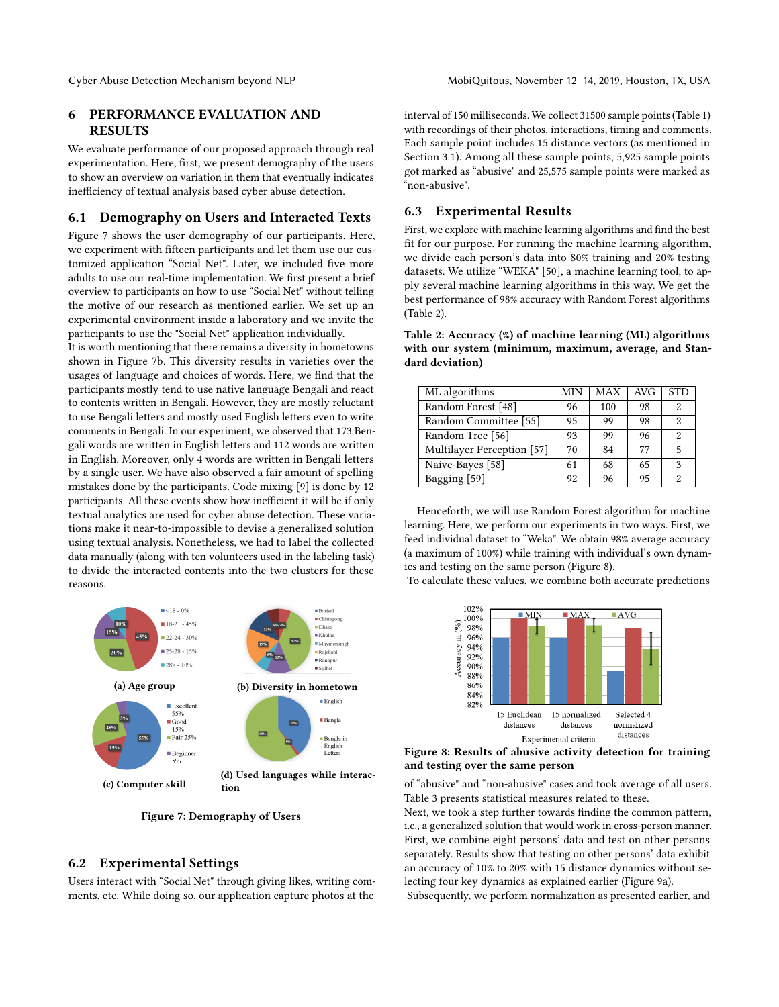# 6 PERFORMANCE EVALUATION AND RESULTS

We evaluate performance of our proposed approach through real experimentation. Here, first, we present demography of the users to show an overview on variation in them that eventually indicates inefficiency of textual analysis based cyber abuse detection.

## 6.1 Demography on Users and Interacted Texts

Figure [7](#page-6-0) shows the user demography of our participants. Here, we experiment with fifteen participants and let them use our customized application "Social Net". Later, we included five more adults to use our real-time implementation. We first present a brief overview to participants on how to use "Social Net" without telling the motive of our research as mentioned earlier. We set up an experimental environment inside a laboratory and we invite the participants to use the "Social Net" application individually.

It is worth mentioning that there remains a diversity in hometowns shown in Figure [7b.](#page-6-0) This diversity results in varieties over the usages of language and choices of words. Here, we find that the participants mostly tend to use native language Bengali and react to contents written in Bengali. However, they are mostly reluctant to use Bengali letters and mostly used English letters even to write comments in Bengali. In our experiment, we observed that 173 Bengali words are written in English letters and 112 words are written in English. Moreover, only 4 words are written in Bengali letters by a single user. We have also observed a fair amount of spelling mistakes done by the participants. Code mixing [\[9\]](#page-9-3) is done by 12 participants. All these events show how inefficient it will be if only textual analytics are used for cyber abuse detection. These variations make it near-to-impossible to devise a generalized solution using textual analysis. Nonetheless, we had to label the collected data manually (along with ten volunteers used in the labeling task) to divide the interacted contents into the two clusters for these reasons.

<span id="page-6-0"></span>

Figure 7: Demography of Users

# 6.2 Experimental Settings

Users interact with "Social Net" through giving likes, writing comments, etc. While doing so, our application capture photos at the

interval of 150 milliseconds. We collect 31500 sample points (Table [1\)](#page-4-0) with recordings of their photos, interactions, timing and comments. Each sample point includes 15 distance vectors (as mentioned in Section 3.1). Among all these sample points, 5,925 sample points got marked as "abusive" and 25,575 sample points were marked as "non-abusive".

# 6.3 Experimental Results

First, we explore with machine learning algorithms and find the best fit for our purpose. For running the machine learning algorithm, we divide each person's data into 80% training and 20% testing datasets. We utilize "WEKA" [\[50\]](#page-9-38), a machine learning tool, to apply several machine learning algorithms in this way. We get the best performance of 98% accuracy with Random Forest algorithms (Table [2\)](#page-6-1).

<span id="page-6-1"></span>Table 2: Accuracy (%) of machine learning (ML) algorithms with our system (minimum, maximum, average, and Standard deviation)

| ML algorithms              | MIN | MAX | AVG | <b>STD</b> |
|----------------------------|-----|-----|-----|------------|
| Random Forest [48]         | 96  | 100 | 98  | 2          |
| Random Committee [55]      | 95  | 99  | 98  | 2          |
| Random Tree [56]           | 93  | 99  | 96  | 2          |
| Multilayer Perception [57] | 70  | 84  | 77  | 5          |
| Naive-Bayes [58]           | 61  | 68  | 65  | 3          |
| Bagging [59]               | 92  | 96  | 95  | 2          |

Henceforth, we will use Random Forest algorithm for machine learning. Here, we perform our experiments in two ways. First, we feed individual dataset to "Weka". We obtain 98% average accuracy (a maximum of 100%) while training with individual's own dynamics and testing on the same person (Figure [8\)](#page-6-2).

<span id="page-6-2"></span>To calculate these values, we combine both accurate predictions



Figure 8: Results of abusive activity detection for training and testing over the same person

of "abusive" and "non-abusive" cases and took average of all users. Table [3](#page-7-0) presents statistical measures related to these.

Next, we took a step further towards finding the common pattern, i.e., a generalized solution that would work in cross-person manner. First, we combine eight persons' data and test on other persons separately. Results show that testing on other persons' data exhibit an accuracy of 10% to 20% with 15 distance dynamics without selecting four key dynamics as explained earlier (Figure [9a\)](#page-7-1).

Subsequently, we perform normalization as presented earlier, and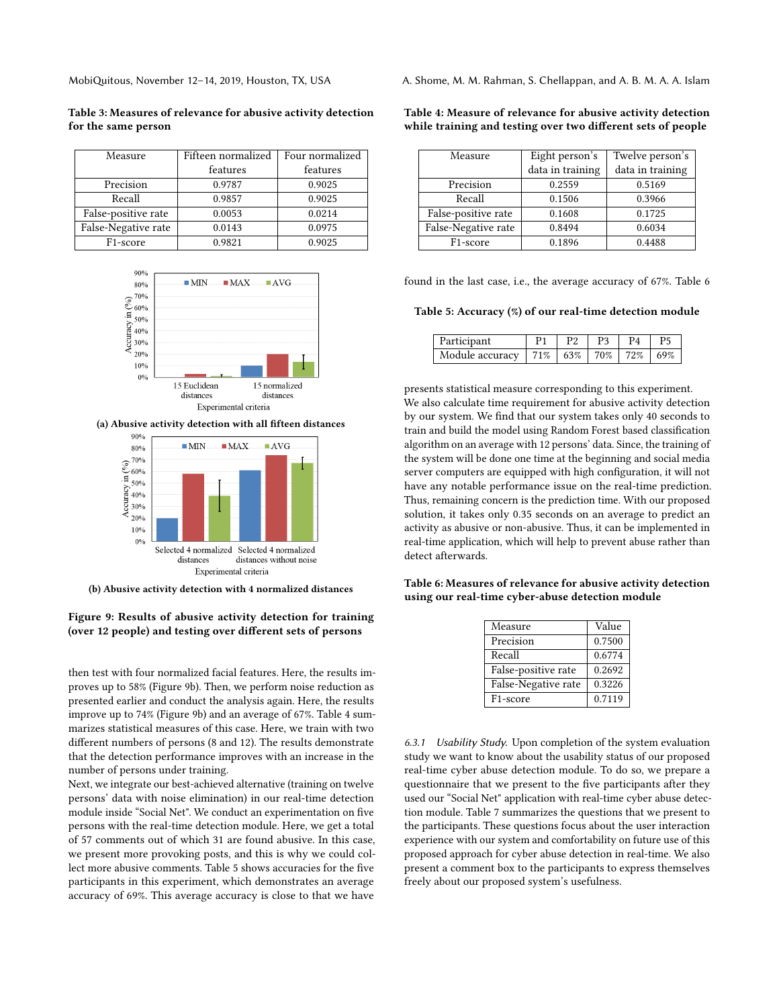<span id="page-7-0"></span>Table 3: Measures of relevance for abusive activity detection for the same person

| Measure               | Fifteen normalized | Four normalized |  |
|-----------------------|--------------------|-----------------|--|
|                       | features           | features        |  |
| Precision             | 0.9787             | 0.9025          |  |
| Recall                | 0.9857             | 0.9025          |  |
| False-positive rate   | 0.0053             | 0.0214          |  |
| False-Negative rate   | 0.0143             | 0.0975          |  |
| F <sub>1</sub> -score | 0.9821             | 0.9025          |  |

<span id="page-7-1"></span>

(a) Abusive activity detection with all fifteen distances



(b) Abusive activity detection with 4 normalized distances

# Figure 9: Results of abusive activity detection for training (over 12 people) and testing over different sets of persons

then test with four normalized facial features. Here, the results improves up to 58% (Figure [9b\)](#page-7-1). Then, we perform noise reduction as presented earlier and conduct the analysis again. Here, the results improve up to 74% (Figure [9b\)](#page-7-1) and an average of 67%. Table [4](#page-7-2) summarizes statistical measures of this case. Here, we train with two different numbers of persons (8 and 12). The results demonstrate that the detection performance improves with an increase in the number of persons under training.

Next, we integrate our best-achieved alternative (training on twelve persons' data with noise elimination) in our real-time detection module inside "Social Net". We conduct an experimentation on five persons with the real-time detection module. Here, we get a total of 57 comments out of which 31 are found abusive. In this case, we present more provoking posts, and this is why we could collect more abusive comments. Table [5](#page-7-3) shows accuracies for the five participants in this experiment, which demonstrates an average accuracy of 69%. This average accuracy is close to that we have

MobiQuitous, November 12–14, 2019, Houston, TX, USA A. Shome, M. M. Rahman, S. Chellappan, and A. B. M. A. A. Islam

#### <span id="page-7-2"></span>Table 4: Measure of relevance for abusive activity detection while training and testing over two different sets of people

| Measure               | Eight person's   | Twelve person's  |
|-----------------------|------------------|------------------|
|                       | data in training | data in training |
| Precision             | 0.2559           | 0.5169           |
| Recall                | 0.1506           | 0.3966           |
| False-positive rate   | 0.1608           | 0.1725           |
| False-Negative rate   | 0.8494           | 0.6034           |
| F <sub>1</sub> -score | 0.1896           | 0.4488           |

found in the last case, i.e., the average accuracy of 67%. Table [6](#page-7-4)

<span id="page-7-3"></span>Table 5: Accuracy (%) of our real-time detection module

| Participant                                   |  | P4 |  |
|-----------------------------------------------|--|----|--|
| Module accuracy   71%   63%   70%   72%   69% |  |    |  |

presents statistical measure corresponding to this experiment. We also calculate time requirement for abusive activity detection by our system. We find that our system takes only 40 seconds to train and build the model using Random Forest based classification algorithm on an average with 12 persons' data. Since, the training of the system will be done one time at the beginning and social media server computers are equipped with high configuration, it will not have any notable performance issue on the real-time prediction. Thus, remaining concern is the prediction time. With our proposed solution, it takes only 0.35 seconds on an average to predict an activity as abusive or non-abusive. Thus, it can be implemented in real-time application, which will help to prevent abuse rather than detect afterwards.

<span id="page-7-4"></span>Table 6: Measures of relevance for abusive activity detection using our real-time cyber-abuse detection module

| Measure               | Value  |
|-----------------------|--------|
| Precision             | 0.7500 |
| Recall                | 0.6774 |
| False-positive rate   | 0.2692 |
| False-Negative rate   | 0.3226 |
| F <sub>1</sub> -score | 0.7119 |

6.3.1 Usability Study. Upon completion of the system evaluation study we want to know about the usability status of our proposed real-time cyber abuse detection module. To do so, we prepare a questionnaire that we present to the five participants after they used our "Social Net" application with real-time cyber abuse detection module. Table [7](#page-8-4) summarizes the questions that we present to the participants. These questions focus about the user interaction experience with our system and comfortability on future use of this proposed approach for cyber abuse detection in real-time. We also present a comment box to the participants to express themselves freely about our proposed system's usefulness.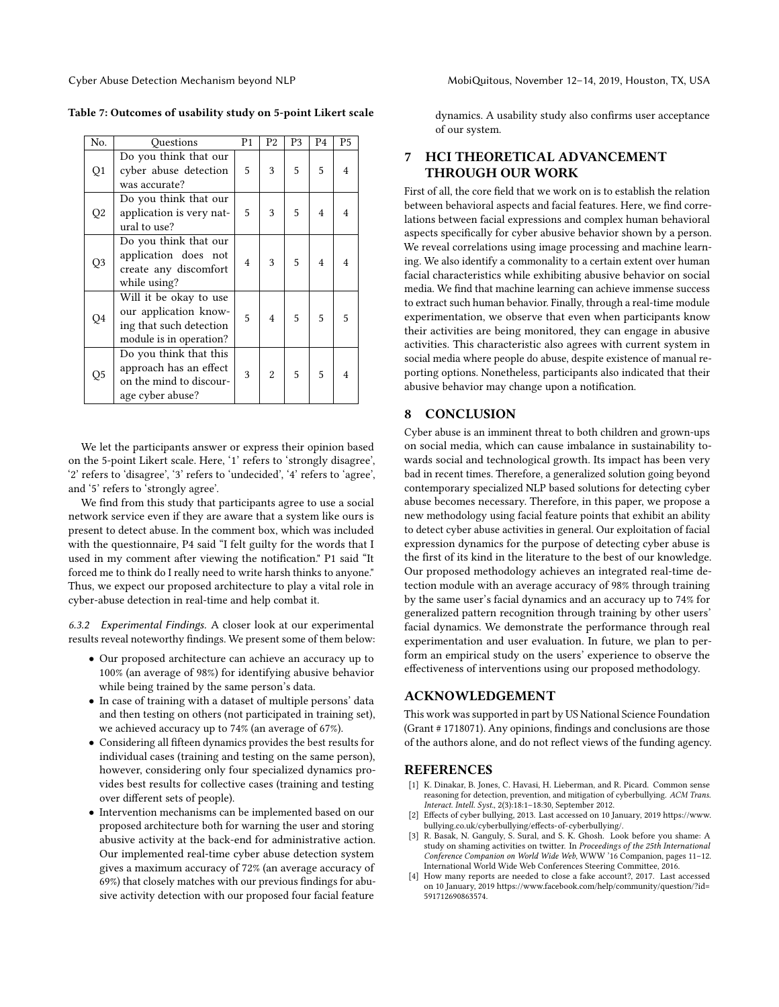| No.            | Ouestions                                                                                             | P <sub>1</sub> | P2             | P <sub>3</sub> | P <sub>4</sub> | P5             |
|----------------|-------------------------------------------------------------------------------------------------------|----------------|----------------|----------------|----------------|----------------|
| Q1             | Do you think that our<br>cyber abuse detection<br>was accurate?                                       | 5              | 3              | 5              | 5              | $\overline{4}$ |
| Q <sub>2</sub> | Do you think that our<br>application is very nat-<br>ural to use?                                     | 5              | 3              | 5              | $\overline{4}$ | $\overline{4}$ |
| Q3             | Do you think that our<br>application does not<br>create any discomfort<br>while using?                | $\overline{4}$ | 3              | 5              | $\overline{4}$ | $\overline{4}$ |
| Q4             | Will it be okay to use<br>our application know-<br>ing that such detection<br>module is in operation? | 5              | $\overline{4}$ | 5              | 5              | 5              |
| Q <sub>5</sub> | Do you think that this<br>approach has an effect<br>on the mind to discour-<br>age cyber abuse?       | 3              | $\overline{2}$ | 5              | 5              | $\overline{4}$ |

<span id="page-8-4"></span>

| Table 7: Outcomes of usability study on 5-point Likert scale |  |  |
|--------------------------------------------------------------|--|--|
|--------------------------------------------------------------|--|--|

We let the participants answer or express their opinion based on the 5-point Likert scale. Here, '1' refers to 'strongly disagree', '2' refers to 'disagree', '3' refers to 'undecided', '4' refers to 'agree', and '5' refers to 'strongly agree'.

We find from this study that participants agree to use a social network service even if they are aware that a system like ours is present to detect abuse. In the comment box, which was included with the questionnaire, P4 said "I felt guilty for the words that I used in my comment after viewing the notification." P1 said "It forced me to think do I really need to write harsh thinks to anyone." Thus, we expect our proposed architecture to play a vital role in cyber-abuse detection in real-time and help combat it.

6.3.2 Experimental Findings. A closer look at our experimental results reveal noteworthy findings. We present some of them below:

- Our proposed architecture can achieve an accuracy up to 100% (an average of 98%) for identifying abusive behavior while being trained by the same person's data.
- In case of training with a dataset of multiple persons' data and then testing on others (not participated in training set), we achieved accuracy up to 74% (an average of 67%).
- Considering all fifteen dynamics provides the best results for individual cases (training and testing on the same person), however, considering only four specialized dynamics provides best results for collective cases (training and testing over different sets of people).
- Intervention mechanisms can be implemented based on our proposed architecture both for warning the user and storing abusive activity at the back-end for administrative action. Our implemented real-time cyber abuse detection system gives a maximum accuracy of 72% (an average accuracy of 69%) that closely matches with our previous findings for abusive activity detection with our proposed four facial feature

dynamics. A usability study also confirms user acceptance of our system.

# 7 HCI THEORETICAL ADVANCEMENT THROUGH OUR WORK

First of all, the core field that we work on is to establish the relation between behavioral aspects and facial features. Here, we find correlations between facial expressions and complex human behavioral aspects specifically for cyber abusive behavior shown by a person. We reveal correlations using image processing and machine learning. We also identify a commonality to a certain extent over human facial characteristics while exhibiting abusive behavior on social media. We find that machine learning can achieve immense success to extract such human behavior. Finally, through a real-time module experimentation, we observe that even when participants know their activities are being monitored, they can engage in abusive activities. This characteristic also agrees with current system in social media where people do abuse, despite existence of manual reporting options. Nonetheless, participants also indicated that their abusive behavior may change upon a notification.

# 8 CONCLUSION

Cyber abuse is an imminent threat to both children and grown-ups on social media, which can cause imbalance in sustainability towards social and technological growth. Its impact has been very bad in recent times. Therefore, a generalized solution going beyond contemporary specialized NLP based solutions for detecting cyber abuse becomes necessary. Therefore, in this paper, we propose a new methodology using facial feature points that exhibit an ability to detect cyber abuse activities in general. Our exploitation of facial expression dynamics for the purpose of detecting cyber abuse is the first of its kind in the literature to the best of our knowledge. Our proposed methodology achieves an integrated real-time detection module with an average accuracy of 98% through training by the same user's facial dynamics and an accuracy up to 74% for generalized pattern recognition through training by other users' facial dynamics. We demonstrate the performance through real experimentation and user evaluation. In future, we plan to perform an empirical study on the users' experience to observe the effectiveness of interventions using our proposed methodology.

# ACKNOWLEDGEMENT

This work was supported in part by US National Science Foundation (Grant # 1718071). Any opinions, findings and conclusions are those of the authors alone, and do not reflect views of the funding agency.

# REFERENCES

- <span id="page-8-0"></span>[1] K. Dinakar, B. Jones, C. Havasi, H. Lieberman, and R. Picard. Common sense reasoning for detection, prevention, and mitigation of cyberbullying. ACM Trans. Interact. Intell. Syst., 2(3):18:1–18:30, September 2012.
- <span id="page-8-1"></span>Effects of cyber bullying, 2013. Last accessed on 10 January, 2019 [https://www.](https://www.bullying.co.uk/cyberbullying/effects-of-cyberbullying/) [bullying.co.uk/cyberbullying/effects-of-cyberbullying/.](https://www.bullying.co.uk/cyberbullying/effects-of-cyberbullying/)
- <span id="page-8-2"></span>[3] R. Basak, N. Ganguly, S. Sural, and S. K. Ghosh. Look before you shame: A study on shaming activities on twitter. In Proceedings of the 25th International Conference Companion on World Wide Web, WWW '16 Companion, pages 11–12. International World Wide Web Conferences Steering Committee, 2016.
- <span id="page-8-3"></span>[4] How many reports are needed to close a fake account?, 2017. Last accessed on 10 January, 2019 [https://www.facebook.com/help/community/question/?id=](https://www.facebook.com/help/community/question/?id=591712690863574) [591712690863574.](https://www.facebook.com/help/community/question/?id=591712690863574)